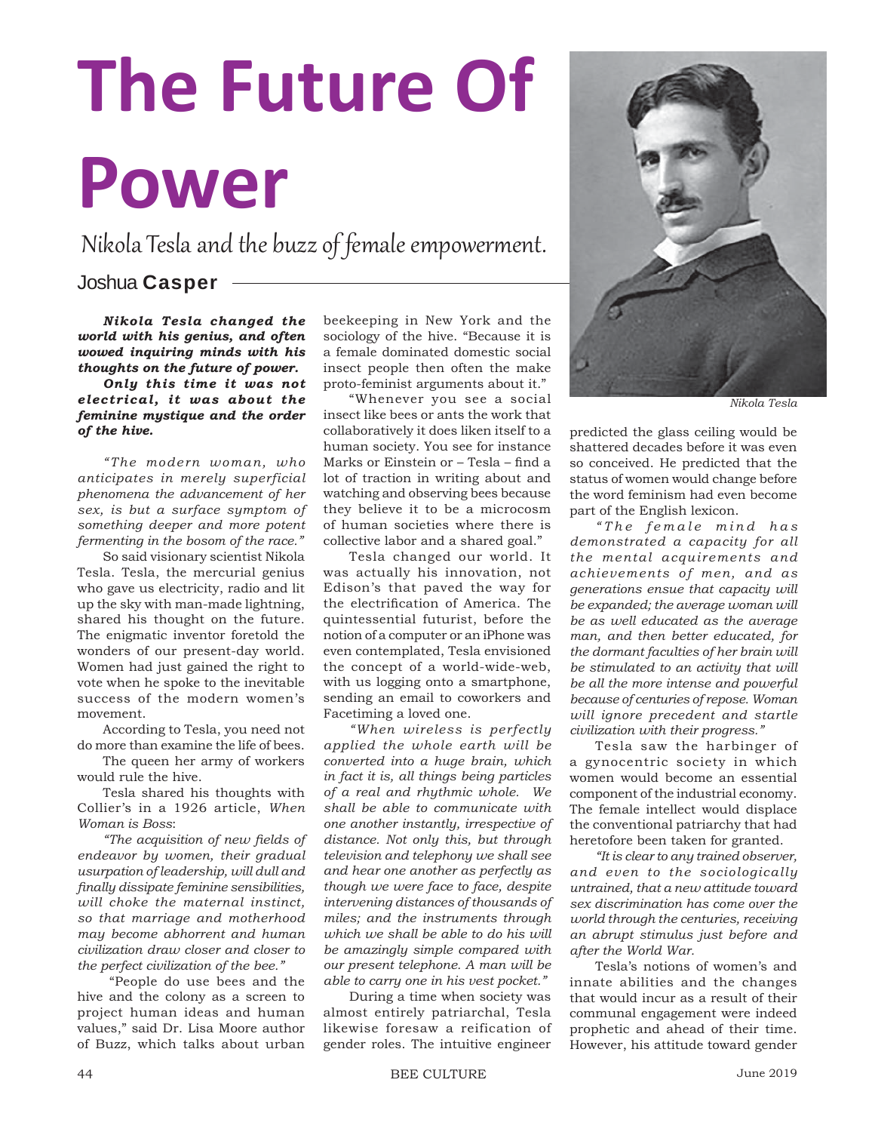## **The Future Of Power**

Nikola Tesla and the buzz of female empowerment.

## Joshua **Casper**

*Nikola Tesla changed the world with his genius, and often wowed inquiring minds with his thoughts on the future of power.* 

*Only this time it was not electrical, it was about the feminine mystique and the order of the hive.*

*"The modern woman, who anticipates in merely superficial phenomena the advancement of her sex, is but a surface symptom of something deeper and more potent fermenting in the bosom of the race."*

So said visionary scientist Nikola Tesla. Tesla, the mercurial genius who gave us electricity, radio and lit up the sky with man-made lightning, shared his thought on the future. The enigmatic inventor foretold the wonders of our present-day world. Women had just gained the right to vote when he spoke to the inevitable success of the modern women's movement.

According to Tesla, you need not do more than examine the life of bees.

The queen her army of workers would rule the hive.

Tesla shared his thoughts with Collier's in a 1926 article, *When Woman is Boss*:

*"The acquisition of new fi elds of endeavor by women, their gradual usurpation of leadership, will dull and fi nally dissipate feminine sensibilities, will choke the maternal instinct, so that marriage and motherhood may become abhorrent and human civilization draw closer and closer to the perfect civilization of the bee."*

 "People do use bees and the hive and the colony as a screen to project human ideas and human values," said Dr. Lisa Moore author of Buzz, which talks about urban

beekeeping in New York and the sociology of the hive. "Because it is a female dominated domestic social insect people then often the make proto-feminist arguments about it."

"Whenever you see a social insect like bees or ants the work that collaboratively it does liken itself to a human society. You see for instance Marks or Einstein or – Tesla – find a lot of traction in writing about and watching and observing bees because they believe it to be a microcosm of human societies where there is collective labor and a shared goal."

Tesla changed our world. It was actually his innovation, not Edison's that paved the way for the electrification of America. The quintessential futurist, before the notion of a computer or an iPhone was even contemplated, Tesla envisioned the concept of a world-wide-web, with us logging onto a smartphone, sending an email to coworkers and Facetiming a loved one.

*"When wireless is perfectly applied the whole earth will be converted into a huge brain, which in fact it is, all things being particles of a real and rhythmic whole. We shall be able to communicate with one another instantly, irrespective of distance. Not only this, but through television and telephony we shall see and hear one another as perfectly as though we were face to face, despite intervening distances of thousands of miles; and the instruments through which we shall be able to do his will be amazingly simple compared with our present telephone. A man will be able to carry one in his vest pocket."*

During a time when society was almost entirely patriarchal, Tesla likewise foresaw a reification of gender roles. The intuitive engineer



*Nikola Tesla*

predicted the glass ceiling would be shattered decades before it was even so conceived. He predicted that the status of women would change before the word feminism had even become part of the English lexicon.

 $"The female mind has$ *demonstrated a capacity for all the mental acquirements and achievements of men, and as generations ensue that capacity will be expanded; the average woman will be as well educated as the average man, and then better educated, for the dormant faculties of her brain will be stimulated to an activity that will be all the more intense and powerful because of centuries of repose. Woman will ignore precedent and startle civilization with their progress."* 

Tesla saw the harbinger of a gynocentric society in which women would become an essential component of the industrial economy. The female intellect would displace the conventional patriarchy that had heretofore been taken for granted.

*"It is clear to any trained observer, and even to the sociologically untrained, that a new attitude toward sex discrimination has come over the world through the centuries, receiving an abrupt stimulus just before and after the World War.*

Tesla's notions of women's and innate abilities and the changes that would incur as a result of their communal engagement were indeed prophetic and ahead of their time. However, his attitude toward gender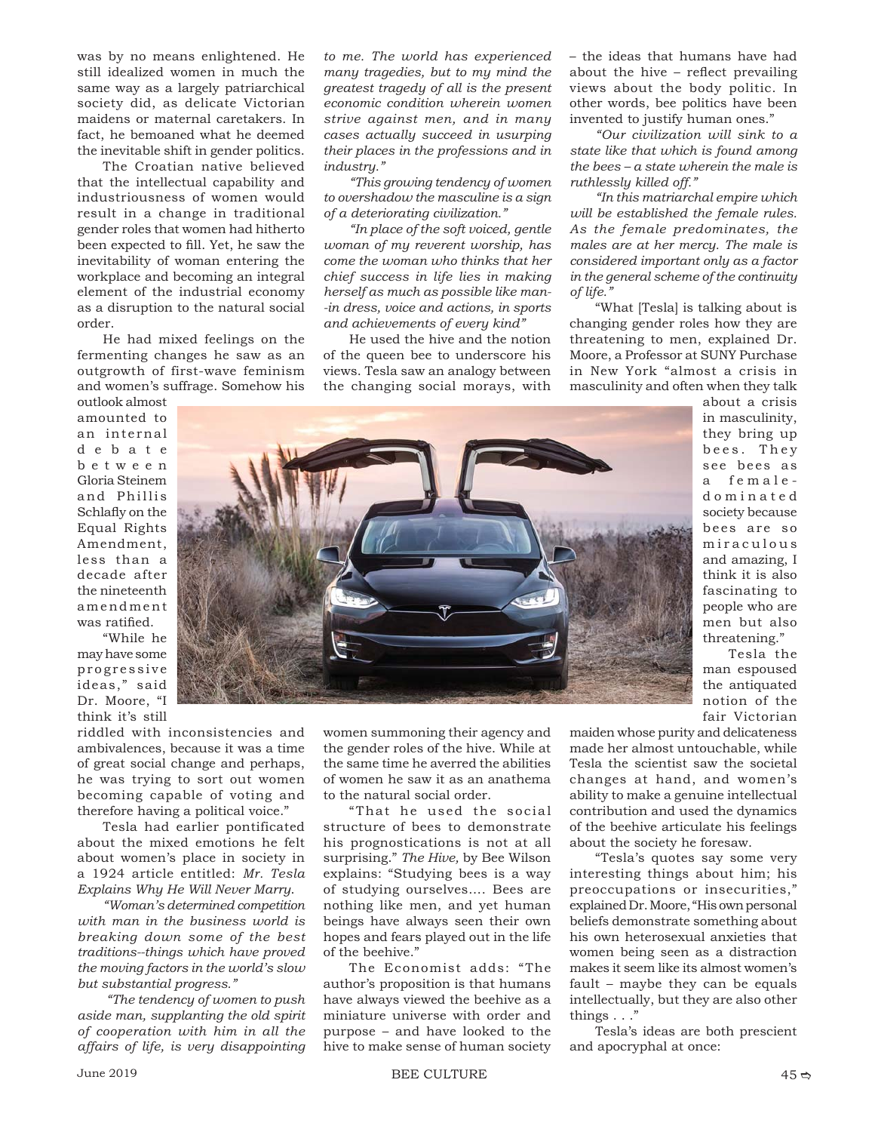was by no means enlightened. He still idealized women in much the same way as a largely patriarchical society did, as delicate Victorian maidens or maternal caretakers. In fact, he bemoaned what he deemed the inevitable shift in gender politics.

The Croatian native believed that the intellectual capability and industriousness of women would result in a change in traditional gender roles that women had hitherto been expected to fill. Yet, he saw the inevitability of woman entering the workplace and becoming an integral element of the industrial economy as a disruption to the natural social order.

He had mixed feelings on the fermenting changes he saw as an outgrowth of first-wave feminism and women's suffrage. Somehow his outlook almost

amounted to an internal d e b a t e b e t w e e n Gloria Steinem and Phillis Schlafly on the Equal Rights Amendment, less than a decade after the nineteenth amendment was ratified.

"While he may have some progressive ideas," said Dr. Moore, "I think it's still

riddled with inconsistencies and ambivalences, because it was a time of great social change and perhaps, he was trying to sort out women becoming capable of voting and therefore having a political voice."

Tesla had earlier pontificated about the mixed emotions he felt about women's place in society in a 1924 article entitled: *Mr. Tesla Explains Why He Will Never Marry*.

*"Woman's determined competition with man in the business world is breaking down some of the best traditions--things which have proved the moving factors in the world's slow but substantial progress."*

 *"The tendency of women to push aside man, supplanting the old spirit of cooperation with him in all the affairs of life, is very disappointing* 

*to me. The world has experienced many tragedies, but to my mind the greatest tragedy of all is the present economic condition wherein women strive against men, and in many cases actually succeed in usurping their places in the professions and in industry."*

*"This growing tendency of women to overshadow the masculine is a sign of a deteriorating civilization."*

*"In place of the soft voiced, gentle woman of my reverent worship, has come the woman who thinks that her chief success in life lies in making herself as much as possible like man- -in dress, voice and actions, in sports and achievements of every kind"*

He used the hive and the notion of the queen bee to underscore his views. Tesla saw an analogy between the changing social morays, with

– the ideas that humans have had about the hive  $-$  reflect prevailing views about the body politic. In other words, bee politics have been invented to justify human ones."

*"Our civilization will sink to a state like that which is found among the bees – a state wherein the male is ruthlessly killed off."*

*"In this matriarchal empire which will be established the female rules. As the female predominates, the males are at her mercy. The male is considered important only as a factor in the general scheme of the continuity of life."*

"What [Tesla] is talking about is changing gender roles how they are threatening to men, explained Dr. Moore, a Professor at SUNY Purchase in New York "almost a crisis in masculinity and often when they talk



about a crisis in masculinity, they bring up bees. They see bees as a femaled o m i n a t e d society because bees are so m i r a c u l o u s and amazing, I think it is also fascinating to people who are men but also threatening."

Tesla the man espoused the antiquated notion of the fair Victorian

women summoning their agency and the gender roles of the hive. While at the same time he averred the abilities of women he saw it as an anathema to the natural social order.

"That he used the social structure of bees to demonstrate his prognostications is not at all surprising." *The Hive,* by Bee Wilson explains: "Studying bees is a way of studying ourselves…. Bees are nothing like men, and yet human beings have always seen their own hopes and fears played out in the life of the beehive."

The Economist adds: "The author's proposition is that humans have always viewed the beehive as a miniature universe with order and purpose – and have looked to the hive to make sense of human society

maiden whose purity and delicateness made her almost untouchable, while Tesla the scientist saw the societal changes at hand, and women's ability to make a genuine intellectual contribution and used the dynamics of the beehive articulate his feelings about the society he foresaw.

"Tesla's quotes say some very interesting things about him; his preoccupations or insecurities," explained Dr. Moore, "His own personal beliefs demonstrate something about his own heterosexual anxieties that women being seen as a distraction makes it seem like its almost women's fault – maybe they can be equals intellectually, but they are also other things . . ."

Tesla's ideas are both prescient and apocryphal at once: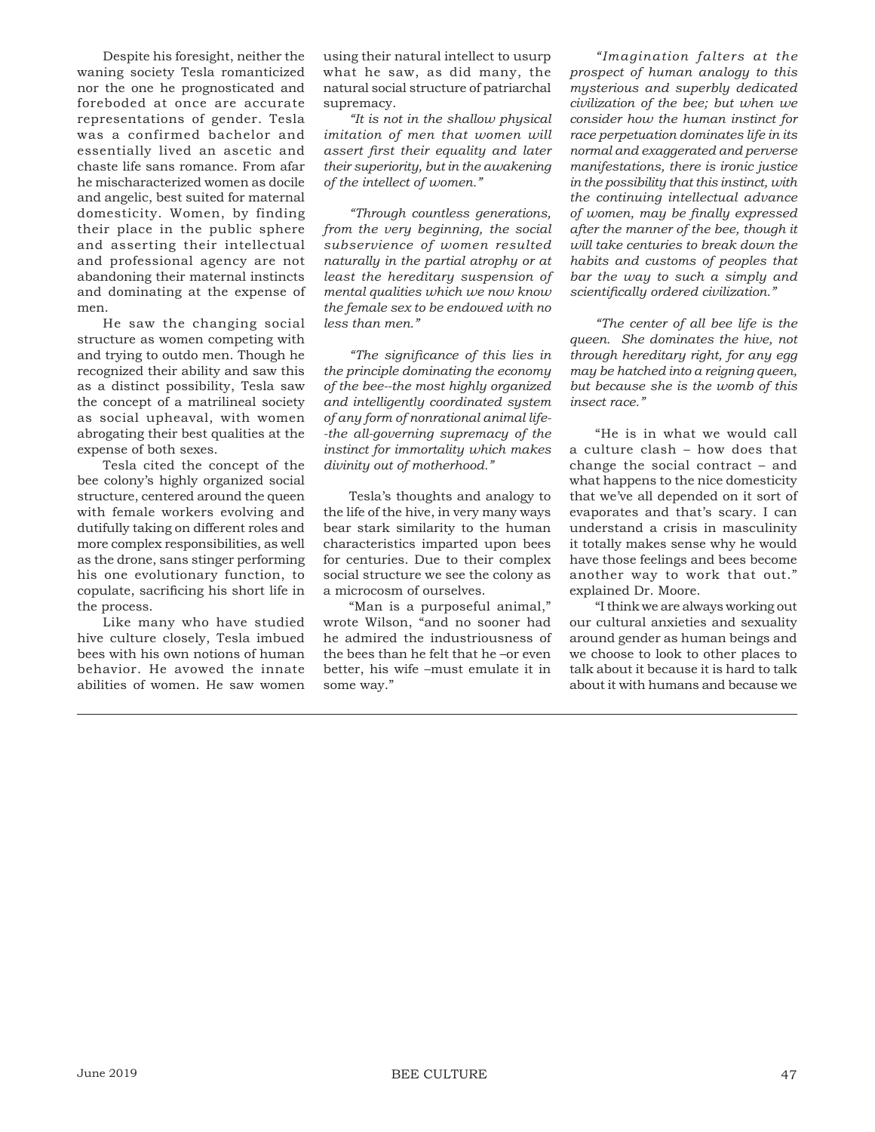Despite his foresight, neither the waning society Tesla romanticized nor the one he prognosticated and foreboded at once are accurate representations of gender. Tesla was a confirmed bachelor and essentially lived an ascetic and chaste life sans romance. From afar he mischaracterized women as docile and angelic, best suited for maternal domesticity. Women, by finding their place in the public sphere and asserting their intellectual and professional agency are not abandoning their maternal instincts and dominating at the expense of men.

He saw the changing social structure as women competing with and trying to outdo men. Though he recognized their ability and saw this as a distinct possibility, Tesla saw the concept of a matrilineal society as social upheaval, with women abrogating their best qualities at the expense of both sexes.

Tesla cited the concept of the bee colony's highly organized social structure, centered around the queen with female workers evolving and dutifully taking on different roles and more complex responsibilities, as well as the drone, sans stinger performing his one evolutionary function, to copulate, sacrificing his short life in the process.

Like many who have studied hive culture closely, Tesla imbued bees with his own notions of human behavior. He avowed the innate abilities of women. He saw women using their natural intellect to usurp what he saw, as did many, the natural social structure of patriarchal supremacy.

*"It is not in the shallow physical imitation of men that women will assert fi rst their equality and later their superiority, but in the awakening of the intellect of women."*

*"Through countless generations, from the very beginning, the social subservience of women resulted naturally in the partial atrophy or at least the hereditary suspension of mental qualities which we now know the female sex to be endowed with no less than men."*

*"The signifi cance of this lies in the principle dominating the economy of the bee--the most highly organized and intelligently coordinated system of any form of nonrational animal life- -the all-governing supremacy of the instinct for immortality which makes divinity out of motherhood."*

Tesla's thoughts and analogy to the life of the hive, in very many ways bear stark similarity to the human characteristics imparted upon bees for centuries. Due to their complex social structure we see the colony as a microcosm of ourselves.

"Man is a purposeful animal," wrote Wilson, "and no sooner had he admired the industriousness of the bees than he felt that he –or even better, his wife –must emulate it in some way."

*"Imagination falters at the prospect of human analogy to this mysterious and superbly dedicated civilization of the bee; but when we consider how the human instinct for race perpetuation dominates life in its normal and exaggerated and perverse manifestations, there is ironic justice in the possibility that this instinct, with the continuing intellectual advance of women, may be fi nally expressed after the manner of the bee, though it will take centuries to break down the habits and customs of peoples that bar the way to such a simply and scientifi cally ordered civilization."*

*"The center of all bee life is the queen. She dominates the hive, not through hereditary right, for any egg may be hatched into a reigning queen, but because she is the womb of this insect race."*

"He is in what we would call a culture clash – how does that change the social contract – and what happens to the nice domesticity that we've all depended on it sort of evaporates and that's scary. I can understand a crisis in masculinity it totally makes sense why he would have those feelings and bees become another way to work that out." explained Dr. Moore.

"I think we are always working out our cultural anxieties and sexuality around gender as human beings and we choose to look to other places to talk about it because it is hard to talk about it with humans and because we